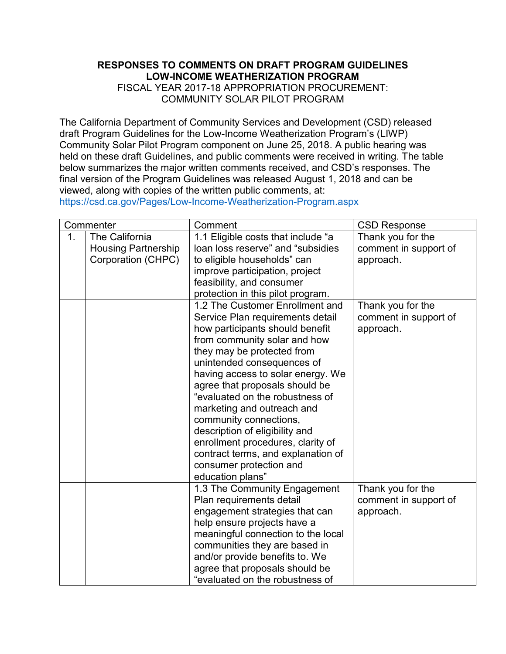## **LOW-INCOME WEATHERIZATION PROGRAM**  FISCAL YEAR 2017-18 APPROPRIATION PROCUREMENT: COMMUNITY SOLAR PILOT PROGRAM

| RESPONSES TO COMMENTS ON DRAFT PROGRAM GUIDELINES<br><b>LOW-INCOME WEATHERIZATION PROGRAM</b><br>FISCAL YEAR 2017-18 APPROPRIATION PROCUREMENT:<br><b>COMMUNITY SOLAR PILOT PROGRAM</b><br>The California Department of Community Services and Development (CSD) released<br>draft Program Guidelines for the Low-Income Weatherization Program's (LIWP)<br>Community Solar Pilot Program component on June 25, 2018. A public hearing was<br>held on these draft Guidelines, and public comments were received in writing. The table<br>below summarizes the major written comments received, and CSD's responses. The<br>final version of the Program Guidelines was released August 1, 2018 and can be<br>viewed, along with copies of the written public comments, at:<br>https://csd.ca.gov/Pages/Low-Income-Weatherization-Program.aspx |                                                                                 |                                                                                                                                                                                                                                                                                                                                                                                                                                                                                                                                  |                                                                                |  |  |  |
|-----------------------------------------------------------------------------------------------------------------------------------------------------------------------------------------------------------------------------------------------------------------------------------------------------------------------------------------------------------------------------------------------------------------------------------------------------------------------------------------------------------------------------------------------------------------------------------------------------------------------------------------------------------------------------------------------------------------------------------------------------------------------------------------------------------------------------------------------|---------------------------------------------------------------------------------|----------------------------------------------------------------------------------------------------------------------------------------------------------------------------------------------------------------------------------------------------------------------------------------------------------------------------------------------------------------------------------------------------------------------------------------------------------------------------------------------------------------------------------|--------------------------------------------------------------------------------|--|--|--|
|                                                                                                                                                                                                                                                                                                                                                                                                                                                                                                                                                                                                                                                                                                                                                                                                                                               |                                                                                 |                                                                                                                                                                                                                                                                                                                                                                                                                                                                                                                                  |                                                                                |  |  |  |
| 1 <sub>1</sub>                                                                                                                                                                                                                                                                                                                                                                                                                                                                                                                                                                                                                                                                                                                                                                                                                                | Commenter<br>The California<br><b>Housing Partnership</b><br>Corporation (CHPC) | Comment<br>1.1 Eligible costs that include "a<br>loan loss reserve" and "subsidies<br>to eligible households" can<br>improve participation, project<br>feasibility, and consumer<br>protection in this pilot program.                                                                                                                                                                                                                                                                                                            | <b>CSD Response</b><br>Thank you for the<br>comment in support of<br>approach. |  |  |  |
|                                                                                                                                                                                                                                                                                                                                                                                                                                                                                                                                                                                                                                                                                                                                                                                                                                               |                                                                                 | 1.2 The Customer Enrollment and<br>Service Plan requirements detail<br>how participants should benefit<br>from community solar and how<br>they may be protected from<br>unintended consequences of<br>having access to solar energy. We<br>agree that proposals should be<br>"evaluated on the robustness of<br>marketing and outreach and<br>community connections,<br>description of eligibility and<br>enrollment procedures, clarity of<br>contract terms, and explanation of<br>consumer protection and<br>education plans" | Thank you for the<br>comment in support of<br>approach.                        |  |  |  |
|                                                                                                                                                                                                                                                                                                                                                                                                                                                                                                                                                                                                                                                                                                                                                                                                                                               |                                                                                 | 1.3 The Community Engagement<br>Plan requirements detail<br>engagement strategies that can<br>help ensure projects have a<br>meaningful connection to the local<br>communities they are based in<br>and/or provide benefits to. We<br>agree that proposals should be<br>"evaluated on the robustness of                                                                                                                                                                                                                          | Thank you for the<br>comment in support of<br>approach.                        |  |  |  |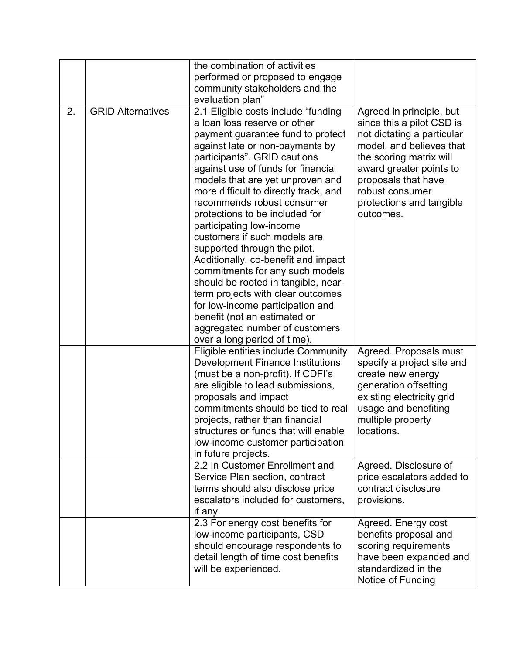|    |                          | the combination of activities<br>performed or proposed to engage<br>community stakeholders and the                                                                                                                                                                                                                                                                                                                                                                                                                                                                                                                                                                                                                                                     |                                                                                                                                                                                                                                                          |
|----|--------------------------|--------------------------------------------------------------------------------------------------------------------------------------------------------------------------------------------------------------------------------------------------------------------------------------------------------------------------------------------------------------------------------------------------------------------------------------------------------------------------------------------------------------------------------------------------------------------------------------------------------------------------------------------------------------------------------------------------------------------------------------------------------|----------------------------------------------------------------------------------------------------------------------------------------------------------------------------------------------------------------------------------------------------------|
|    |                          | evaluation plan"                                                                                                                                                                                                                                                                                                                                                                                                                                                                                                                                                                                                                                                                                                                                       |                                                                                                                                                                                                                                                          |
| 2. | <b>GRID Alternatives</b> | 2.1 Eligible costs include "funding<br>a loan loss reserve or other<br>payment guarantee fund to protect<br>against late or non-payments by<br>participants". GRID cautions<br>against use of funds for financial<br>models that are yet unproven and<br>more difficult to directly track, and<br>recommends robust consumer<br>protections to be included for<br>participating low-income<br>customers if such models are<br>supported through the pilot.<br>Additionally, co-benefit and impact<br>commitments for any such models<br>should be rooted in tangible, near-<br>term projects with clear outcomes<br>for low-income participation and<br>benefit (not an estimated or<br>aggregated number of customers<br>over a long period of time). | Agreed in principle, but<br>since this a pilot CSD is<br>not dictating a particular<br>model, and believes that<br>the scoring matrix will<br>award greater points to<br>proposals that have<br>robust consumer<br>protections and tangible<br>outcomes. |
|    |                          | Eligible entities include Community<br>Development Finance Institutions<br>(must be a non-profit). If CDFI's<br>are eligible to lead submissions,<br>proposals and impact<br>commitments should be tied to real<br>projects, rather than financial<br>structures or funds that will enable<br>low-income customer participation<br>in future projects.                                                                                                                                                                                                                                                                                                                                                                                                 | Agreed. Proposals must<br>specify a project site and<br>create new energy<br>generation offsetting<br>existing electricity grid<br>usage and benefiting<br>multiple property<br>locations.                                                               |
|    |                          | 2.2 In Customer Enrollment and<br>Service Plan section, contract<br>terms should also disclose price<br>escalators included for customers,<br>if any.                                                                                                                                                                                                                                                                                                                                                                                                                                                                                                                                                                                                  | Agreed. Disclosure of<br>price escalators added to<br>contract disclosure<br>provisions.                                                                                                                                                                 |
|    |                          | 2.3 For energy cost benefits for<br>low-income participants, CSD<br>should encourage respondents to<br>detail length of time cost benefits<br>will be experienced.                                                                                                                                                                                                                                                                                                                                                                                                                                                                                                                                                                                     | Agreed. Energy cost<br>benefits proposal and<br>scoring requirements<br>have been expanded and<br>standardized in the<br>Notice of Funding                                                                                                               |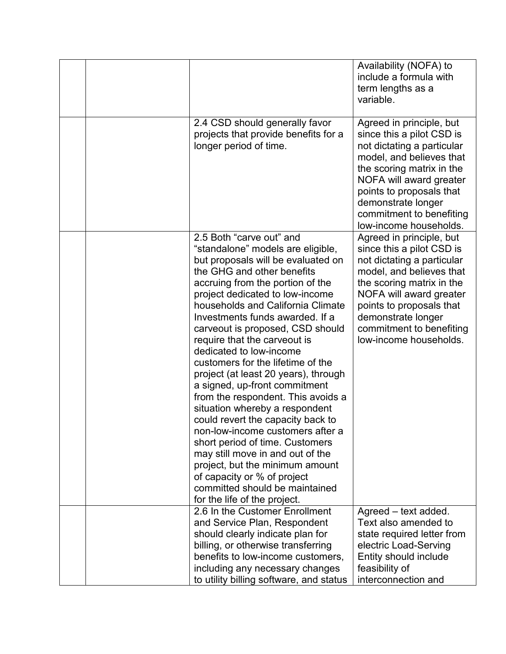|  |                                                                                                                                                                                                                                                                                                                                                                                                                                                                                                                                                                                                                                                                                                                                                                                                                                                           | Availability (NOFA) to<br>include a formula with<br>term lengths as a<br>variable.                                                                                                                                                                                              |
|--|-----------------------------------------------------------------------------------------------------------------------------------------------------------------------------------------------------------------------------------------------------------------------------------------------------------------------------------------------------------------------------------------------------------------------------------------------------------------------------------------------------------------------------------------------------------------------------------------------------------------------------------------------------------------------------------------------------------------------------------------------------------------------------------------------------------------------------------------------------------|---------------------------------------------------------------------------------------------------------------------------------------------------------------------------------------------------------------------------------------------------------------------------------|
|  | 2.4 CSD should generally favor<br>projects that provide benefits for a<br>longer period of time.                                                                                                                                                                                                                                                                                                                                                                                                                                                                                                                                                                                                                                                                                                                                                          | Agreed in principle, but<br>since this a pilot CSD is<br>not dictating a particular<br>model, and believes that<br>the scoring matrix in the<br>NOFA will award greater<br>points to proposals that<br>demonstrate longer<br>commitment to benefiting<br>low-income households. |
|  | 2.5 Both "carve out" and<br>"standalone" models are eligible,<br>but proposals will be evaluated on<br>the GHG and other benefits<br>accruing from the portion of the<br>project dedicated to low-income<br>households and California Climate<br>Investments funds awarded. If a<br>carveout is proposed, CSD should<br>require that the carveout is<br>dedicated to low-income<br>customers for the lifetime of the<br>project (at least 20 years), through<br>a signed, up-front commitment<br>from the respondent. This avoids a<br>situation whereby a respondent<br>could revert the capacity back to<br>non-low-income customers after a<br>short period of time. Customers<br>may still move in and out of the<br>project, but the minimum amount<br>of capacity or % of project<br>committed should be maintained<br>for the life of the project. | Agreed in principle, but<br>since this a pilot CSD is<br>not dictating a particular<br>model, and believes that<br>the scoring matrix in the<br>NOFA will award greater<br>points to proposals that<br>demonstrate longer<br>commitment to benefiting<br>low-income households. |
|  | 2.6 In the Customer Enrollment<br>and Service Plan, Respondent<br>should clearly indicate plan for<br>billing, or otherwise transferring<br>benefits to low-income customers,<br>including any necessary changes<br>to utility billing software, and status                                                                                                                                                                                                                                                                                                                                                                                                                                                                                                                                                                                               | Agreed - text added.<br>Text also amended to<br>state required letter from<br>electric Load-Serving<br>Entity should include<br>feasibility of<br>interconnection and                                                                                                           |